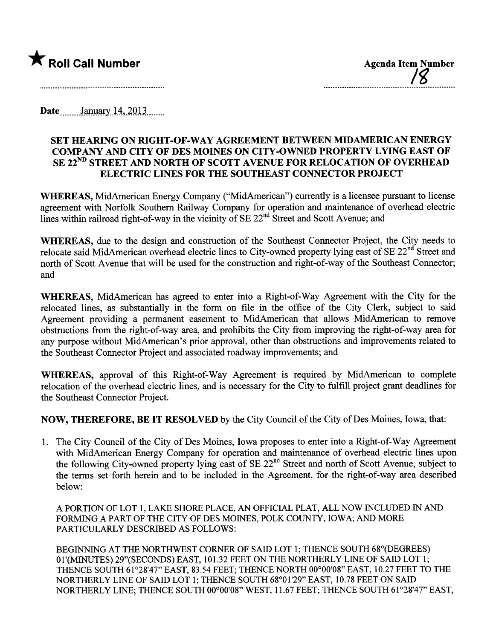

Date January 14, 2013

## SET HEARNG ON RIGHT-OF-WAY AGREEMENT BETWEEN MIDAMERICAN ENERGY COMPANY AND CITY OF DES MOINES ON CITY-OWNED PROPERTY LYING EAST OF SE 22<sup>ND</sup> STREET AND NORTH OF SCOTT AVENUE FOR RELOCATION OF OVERHEAD ELECTRIC LINES FOR THE SOUTHEAST CONNECTOR PROJECT

WHEREAS, MidAmerican Energy Company ("MidAmerican") curently is a licensee pursuant to license agreement with Norfolk Southern Railway Company for operation and maintenance of overhead electric lines within railroad right-of-way in the vicinity of SE 22<sup>nd</sup> Street and Scott Avenue; and

WHEREAS, due to the design and construction of the Southeast Connector Project, the City needs to relocate said MidAmerican overhead electric lines to City-owned property lying east of SE 22<sup>nd</sup> Street and north of Scott Avenue that will be used for the construction and right-of-way of the Southeast Connector; and

WHEREAS, MidAmerican has agreed to enter into a Right-of-Way Agreement with the City for the relocated lines, as substantially in the form on file in the office of the City Clerk, subject to said Agreement providing a permanent easement to MidAmerican that allows MidAmerican to remove obstructions from the right-of-way area, and prohibits the City from improving the right-of-way area for any purose without MidAmerican's prior approval, other than obstructions and improvements related to the Southeast Connector Project and associated roadway improvements; and

WHEREAS, approval of this Right-of-Way Agreement is required by MidAmerican to complete relocation of the overhead electric lines, and is necessary for the City to fulfill project grant deadlines for the Southeast Connector Project.

NOW, THEREFORE, BE IT RESOLVED by the City Council of the City of Des Moines, Iowa, that:

1. The City Council of the City of Des Moines, Iowa proposes to enter into a Right-of- Way Agreement with MidAmerican Energy Company for operation and maintenance of overhead electric lines upon the following City-owned property lying east of SE 22<sup>nd</sup> Street and north of Scott Avenue, subject to the terms set forth herein and to be included in the Agreement, for the right-of-way area described below:

A PORTION OF LOT 1, LAKE SHORE PLACE, AN OFFICIAL PLAT, ALL NOW INCLUDED IN AND FORMING A PART OF THE CITY OF DES MOINES, POLK COUNTY, IOWA; AND MORE PARTICULARLY DESCRIBED AS FOLLOWS:

BEGINNING AT THE NORTHWEST CORNER OF SAID LOT 1; THENCE SOUTH 68°(DEGREES) 01'(MINUTES) 29"(SECONDS) EAST, 101.32 FEET ON THE NORTHERLY LINE OF SAID LOT 1; THENCE SOUTH 61°28'47" EAST, 83.54 FEET; THENCE NORTH 00°00'08" EAST, 10.27 FEET TO THE NORTHRLY LINE OF SAID LOT 1; THENCE SOUTH 68°01'29" EAST, 10.78 FEET ON SAID NORTHERLY LINE; THENCE SOUTH 00°00'08" WEST, 11.67 FEET; THENCE SOUTH 61°28'47" EAST,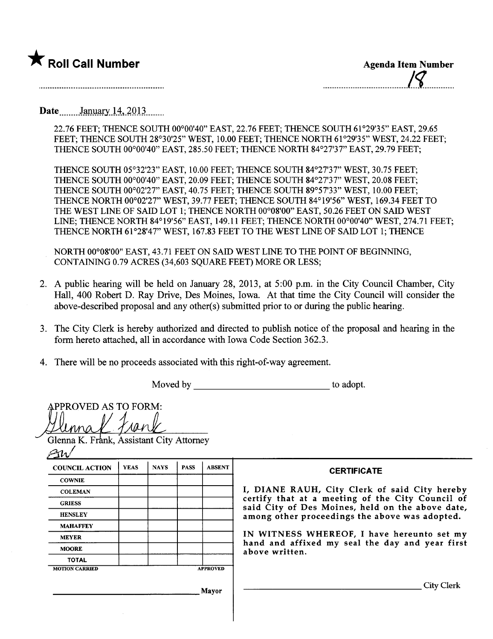

.\_\_\_\_\_\_\_\_\_\_\_\_.\_\_\_\_. \_\_\_.\_\_\_\_\_\_\_u\_\_\_ \_./~\_.\_\_..\_\_\_\_\_.

Date **January 14, 2013** .......

22.76 FEET; THENCE SOUTH 00°00'40" EAST, 22.76 FEET; THENCE SOUTH 61°29'35" EAST, 29.65 FEET; THENCE SOUTH 28°30'25" WEST, 10.00 FEET; THENCE NORTH 61°29'35" WEST, 24.22 FEET; THENCE SOUTH 00°00'40" EAST, 285.50 FEET; THENCE NORTH 84°27'37" EAST, 29.79 FEET;

THENCE SOUTH 05°32'23" EAST, 10.00 FEET; THENCE SOUTH 84°27'37" WEST, 30.75 FEET; THENCE SOUTH 00°00'40" EAST, 20.09 FEET; THENCE SOUTH 84°27'37" WEST, 20.08 FEET; THENCE SOUTH 00°02'27" EAST, 40.75 FEET; THENCE SOUTH 89°57'33" WEST, 10.00 FEET; THENCE NORTH 00°02'27" WEST, 39.77 FEET; THENCE SOUTH 84°19'56" WEST, 169.34 FEET TO THE WEST LINE OF SAID LOT 1; THENCE NORTH 00°08'00" EAST, 50.26 FEET ON SAID WEST LINE; THENCE NORTH 84°19'56" EAST, 149.11 FEET; THENCE NORTH 00°00'40" WEST, 274.71 FEET; THENCE NORTH 61°28'47" WEST, 167.83 FEET TO THE WEST LINE OF SAID LOT 1; THENCE

NORTH 00°08'00" EAST, 43.71 FEET ON SAID WEST LINE TO THE POINT OF BEGINNING, CONTAINING 0.79 ACRES (34,603 SQUARE FEET) MORE OR LESS;

- 2. A public hearing will be held on January 28, 2013, at 5:00 p.m. in the City Council Chamber, City Hall, 400 Robert D. Ray Drive, Des Moines, Iowa. At that time the City Council will consider the above-described proposal and any other(s) submitted prior to or during the public hearng.
- 3. The City Clerk is hereby authorized and directed to publish notice of the proposal and hearing in the form hereto attached, all in accordance with Iowa Code Section 362.3.
- 4. There will be no proceeds associated with this right-of-way agreement.

|                                                                         | Moved by    |             |             |                 | to adopt.                                                                                                                                                                                                                                                                                                                  |  |
|-------------------------------------------------------------------------|-------------|-------------|-------------|-----------------|----------------------------------------------------------------------------------------------------------------------------------------------------------------------------------------------------------------------------------------------------------------------------------------------------------------------------|--|
| <b>APPROVED AS TO FORM:</b><br>Glenna K. Frank, Assistant City Attorney |             |             |             |                 |                                                                                                                                                                                                                                                                                                                            |  |
| <b>COUNCIL ACTION</b>                                                   | <b>YEAS</b> | <b>NAYS</b> | <b>PASS</b> | <b>ABSENT</b>   | <b>CERTIFICATE</b>                                                                                                                                                                                                                                                                                                         |  |
| <b>COWNIE</b>                                                           |             |             |             |                 |                                                                                                                                                                                                                                                                                                                            |  |
| <b>COLEMAN</b>                                                          |             |             |             |                 | I, DIANE RAUH, City Clerk of said City hereby<br>certify that at a meeting of the City Council of<br>said City of Des Moines, held on the above date,<br>among other proceedings the above was adopted.<br>IN WITNESS WHEREOF, I have hereunto set my<br>hand and affixed my seal the day and year first<br>above written. |  |
| <b>GRIESS</b>                                                           |             |             |             |                 |                                                                                                                                                                                                                                                                                                                            |  |
| <b>HENSLEY</b>                                                          |             |             |             |                 |                                                                                                                                                                                                                                                                                                                            |  |
| <b>MAHAFFEY</b>                                                         |             |             |             |                 |                                                                                                                                                                                                                                                                                                                            |  |
| <b>MEYER</b>                                                            |             |             |             |                 |                                                                                                                                                                                                                                                                                                                            |  |
| <b>MOORE</b>                                                            |             |             |             |                 |                                                                                                                                                                                                                                                                                                                            |  |
| <b>TOTAL</b>                                                            |             |             |             |                 |                                                                                                                                                                                                                                                                                                                            |  |
| <b>MOTION CARRIED</b>                                                   |             |             |             | <b>APPROVED</b> |                                                                                                                                                                                                                                                                                                                            |  |
| Mayor                                                                   |             |             |             |                 | City Clerk                                                                                                                                                                                                                                                                                                                 |  |